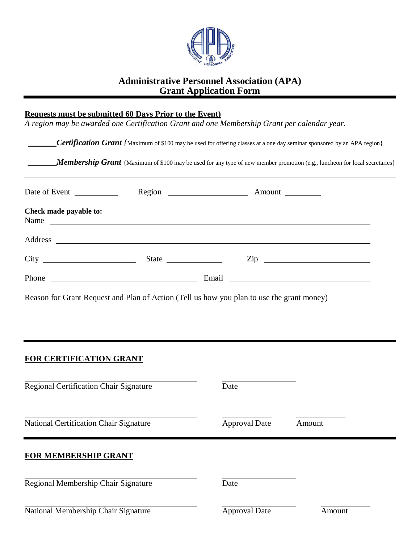

## **Administrative Personnel Association (APA) Grant Application Form**

#### **Requests must be submitted 60 Days Prior to the Event)**

*A region may be awarded one Certification Grant and one Membership Grant per calendar year.*

|  | <b>Certification Grant</b> (Maximum of \$100 may be used for offering classes at a one day seminar sponsored by an APA region) |  |
|--|--------------------------------------------------------------------------------------------------------------------------------|--|
|  |                                                                                                                                |  |

**Membership Grant** {Maximum of \$100 may be used for any type of new member promotion (e.g., luncheon for local secretaries}

| Date of Event                                              |       |                |
|------------------------------------------------------------|-------|----------------|
| Check made payable to:<br>Name                             |       |                |
|                                                            |       |                |
|                                                            |       | $\mathsf{Zip}$ |
| Phone<br><u> 1989 - Johann Barbara, martxa alemaniar a</u> | Email |                |

Reason for Grant Request and Plan of Action (Tell us how you plan to use the grant money)

#### **FOR CERTIFICATION GRANT**

| <b>Regional Certification Chair Signature</b> | Date                 |        |
|-----------------------------------------------|----------------------|--------|
| National Certification Chair Signature        | <b>Approval Date</b> | Amount |
| <b>FOR MEMBERSHIP GRANT</b>                   |                      |        |
| Regional Membership Chair Signature           | Date                 |        |
| National Membership Chair Signature           | <b>Approval Date</b> | Amount |